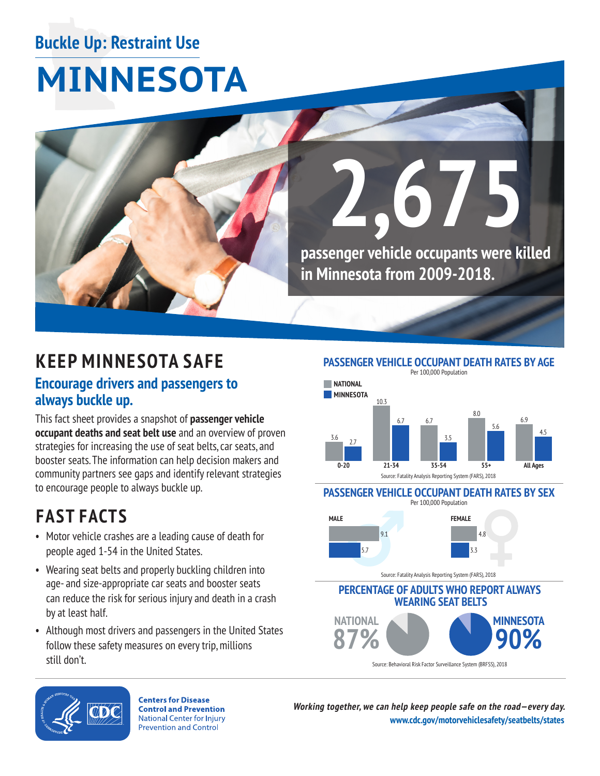## **Buckle Up: Restraint Use**

# **MINNESOTA**



## **KEEP MINNESOTA SAFE**

### **Encourage drivers and passengers to always buckle up.**

This fact sheet provides a snapshot of **passenger vehicle occupant deaths and seat belt use** and an overview of proven strategies for increasing the use of seat belts, car seats, and booster seats. The information can help decision makers and community partners see gaps and identify relevant strategies to encourage people to always buckle up.

## **FAST FACTS**

- Motor vehicle crashes are a leading cause of death for people aged 1-54 in the United States.
- Wearing seat belts and properly buckling children into age- and size-appropriate car seats and booster seats can reduce the risk for serious injury and death in a crash by at least half.
- • Although most drivers and passengers in the United States follow these safety measures on every trip, millions still don't.

**PASSENGER VEHICLE OCCUPANT DEATH RATES BY AGE**



#### **PASSENGER VEHICLE OCCUPANT DEATH RATES BY SEX**



**PERCENTAGE OF ADULTS WHO REPORT ALWAYS WEARING SEAT BELTS NATIONAL MINNESOTA**  90%

Source: Behavioral Risk Factor Surveillance System (BRFSS), 2018



**Centers for Disease Control and Prevention National Center for Injury Prevention and Control** 

**Working together, we can help keep people safe on the road—every day. [www.cdc.gov/motorvehiclesafety/seatbelts/states](https://www.cdc.gov/motorvehiclesafety/seatbelts/states.html)**